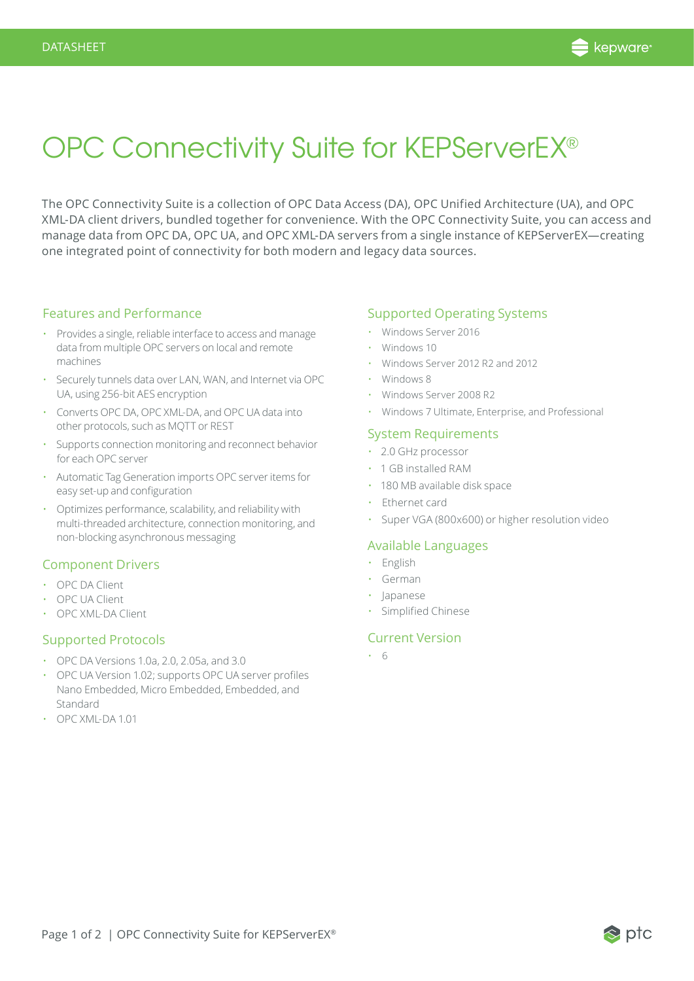

## OPC Connectivity Suite for KEPServerEX®

The OPC Connectivity Suite is a collection of OPC Data Access (DA), OPC Unified Architecture (UA), and OPC XML-DA client drivers, bundled together for convenience. With the OPC Connectivity Suite, you can access and manage data from OPC DA, OPC UA, and OPC XML-DA servers from a single instance of KEPServerEX—creating one integrated point of connectivity for both modern and legacy data sources.

## Features and Performance

- Provides a single, reliable interface to access and manage data from multiple OPC servers on local and remote machines
- Securely tunnels data over LAN, WAN, and Internet via OPC UA, using 256-bit AES encryption
- Converts OPC DA, OPC XML-DA, and OPC UA data into other protocols, such as MQTT or REST
- Supports connection monitoring and reconnect behavior for each OPC server
- Automatic Tag Generation imports OPC server items for easy set-up and configuration
- Optimizes performance, scalability, and reliability with multi-threaded architecture, connection monitoring, and non-blocking asynchronous messaging

#### Component Drivers

- OPC DA Client
- OPC UA Client
- OPC XML-DA Client

#### Supported Protocols

- OPC DA Versions 1.0a, 2.0, 2.05a, and 3.0
- OPC UA Version 1.02; supports OPC UA server profiles Nano Embedded, Micro Embedded, Embedded, and Standard
- OPC XML-DA 1.01

## Supported Operating Systems

- Windows Server 2016
- Windows 10
- Windows Server 2012 R2 and 2012
- Windows 8
- Windows Server 2008 R2
- Windows 7 Ultimate, Enterprise, and Professional

#### System Requirements

- 2.0 GHz processor
- 1 GB installed RAM
- 180 MB available disk space
- Ethernet card
- Super VGA (800x600) or higher resolution video

#### Available Languages

- English
- German
- Japanese
- Simplified Chinese

#### Current Version

• 6